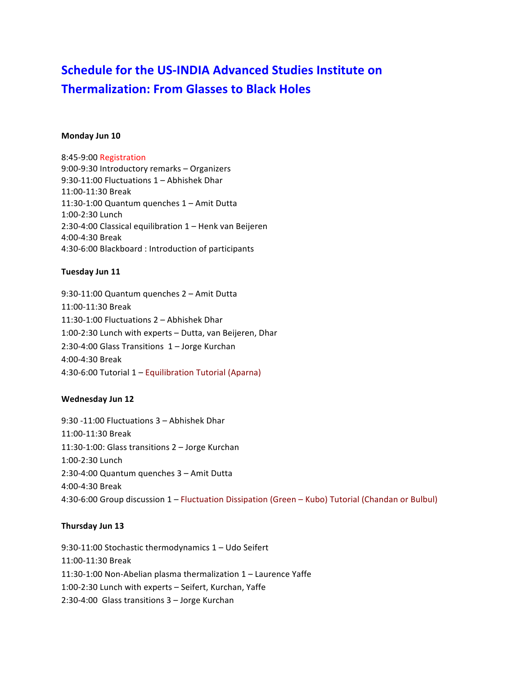# **Schedule for the US-INDIA Advanced Studies Institute on Thermalization: From Glasses to Black Holes**

#### **Monday Jun 10**

8:45-9:00 Registration 9:00-9:30 Introductory remarks - Organizers 9:30-11:00 Fluctuations  $1 -$  Abhishek Dhar 11:00-11:30 Break 11:30-1:00 Quantum quenches  $1 -$  Amit Dutta 1:00-2:30 Lunch 2:30-4:00 Classical equilibration  $1$  – Henk van Beijeren 4:00-4:30 Break 4:30-6:00 Blackboard: Introduction of participants

## **Tuesday Jun 11**

9:30-11:00 Quantum quenches 2 - Amit Dutta 11:00-11:30 Break 11:30-1:00 Fluctuations  $2$  – Abhishek Dhar 1:00-2:30 Lunch with experts - Dutta, van Beijeren, Dhar 2:30-4:00 Glass Transitions  $1 -$  Jorge Kurchan 4:00-4:30 Break 4:30-6:00 Tutorial 1 – Equilibration Tutorial (Aparna)

## **Wednesday Jun 12**

9:30 -11:00 Fluctuations 3 - Abhishek Dhar 11:00-11:30 Break 11:30-1:00: Glass transitions 2 – Jorge Kurchan 1:00-2:30 Lunch 2:30-4:00 Quantum quenches 3 - Amit Dutta 4:00-4:30 Break 4:30-6:00 Group discussion 1 – Fluctuation Dissipation (Green – Kubo) Tutorial (Chandan or Bulbul)

## **Thursday Jun 13**

9:30-11:00 Stochastic thermodynamics  $1 -$  Udo Seifert 11:00-11:30 Break 11:30-1:00 Non-Abelian plasma thermalization  $1$  – Laurence Yaffe 1:00-2:30 Lunch with experts - Seifert, Kurchan, Yaffe 2:30-4:00 Glass transitions 3 - Jorge Kurchan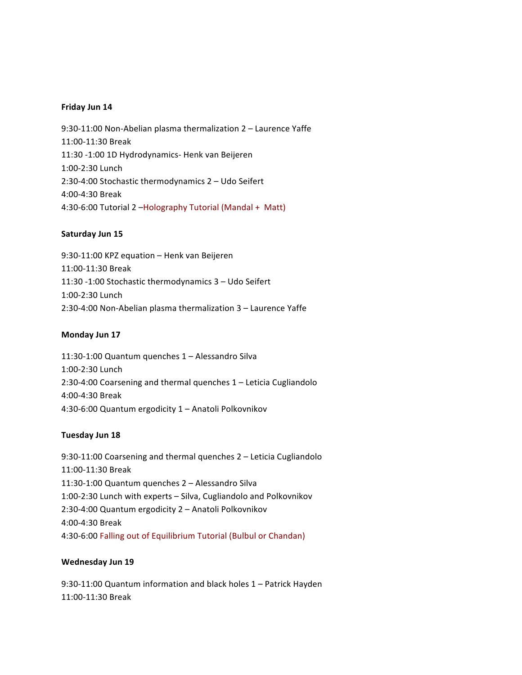#### **Friday Jun 14**

9:30-11:00 Non-Abelian plasma thermalization 2 - Laurence Yaffe 11:00-11:30 Break 11:30 -1:00 1D Hydrodynamics- Henk van Beijeren 1:00-2:30 Lunch 2:30-4:00 Stochastic thermodynamics  $2 -$  Udo Seifert 4:00-4:30 Break 4:30-6:00 Tutorial 2 - Holography Tutorial (Mandal + Matt)

## Saturday Jun 15

9:30-11:00 KPZ equation - Henk van Beijeren 11:00-11:30 Break 11:30 -1:00 Stochastic thermodynamics 3 - Udo Seifert 1:00-2:30 Lunch 2:30-4:00 Non-Abelian plasma thermalization 3 - Laurence Yaffe

#### **Monday Jun 17**

11:30-1:00 Quantum quenches 1 - Alessandro Silva 1:00-2:30 Lunch 2:30-4:00 Coarsening and thermal quenches  $1$  – Leticia Cugliandolo 4:00-4:30 Break 4:30-6:00 Quantum ergodicity 1 - Anatoli Polkovnikov

#### **Tuesday Jun 18**

9:30-11:00 Coarsening and thermal quenches 2 - Leticia Cugliandolo 11:00-11:30 Break 11:30-1:00 Quantum quenches 2 - Alessandro Silva 1:00-2:30 Lunch with experts - Silva, Cugliandolo and Polkovnikov 2:30-4:00 Quantum ergodicity 2 - Anatoli Polkovnikov 4:00-4:30 Break 4:30-6:00 Falling out of Equilibrium Tutorial (Bulbul or Chandan)

## **Wednesday Jun 19**

9:30-11:00 Quantum information and black holes 1 - Patrick Hayden 11:00-11:30 Break